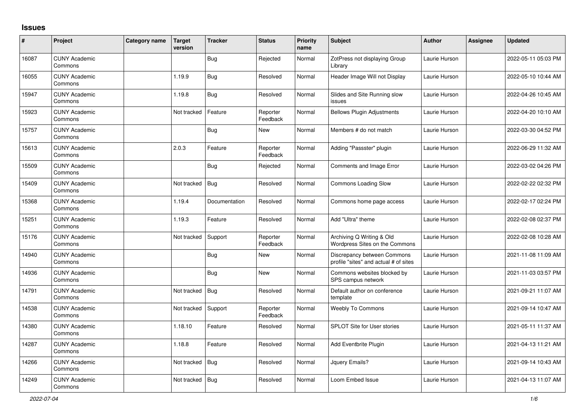## **Issues**

| $\vert$ # | Project                         | Category name | <b>Target</b><br>version | <b>Tracker</b> | <b>Status</b>        | <b>Priority</b><br>name | <b>Subject</b>                                                       | <b>Author</b> | <b>Assignee</b> | <b>Updated</b>      |
|-----------|---------------------------------|---------------|--------------------------|----------------|----------------------|-------------------------|----------------------------------------------------------------------|---------------|-----------------|---------------------|
| 16087     | <b>CUNY Academic</b><br>Commons |               |                          | Bug            | Rejected             | Normal                  | ZotPress not displaying Group<br>Librarv                             | Laurie Hurson |                 | 2022-05-11 05:03 PM |
| 16055     | <b>CUNY Academic</b><br>Commons |               | 1.19.9                   | <b>Bug</b>     | Resolved             | Normal                  | Header Image Will not Display                                        | Laurie Hurson |                 | 2022-05-10 10:44 AM |
| 15947     | <b>CUNY Academic</b><br>Commons |               | 1.19.8                   | <b>Bug</b>     | Resolved             | Normal                  | Slides and Site Running slow<br>issues                               | Laurie Hurson |                 | 2022-04-26 10:45 AM |
| 15923     | <b>CUNY Academic</b><br>Commons |               | Not tracked              | Feature        | Reporter<br>Feedback | Normal                  | <b>Bellows Plugin Adjustments</b>                                    | Laurie Hurson |                 | 2022-04-20 10:10 AM |
| 15757     | <b>CUNY Academic</b><br>Commons |               |                          | <b>Bug</b>     | New                  | Normal                  | Members # do not match                                               | Laurie Hurson |                 | 2022-03-30 04:52 PM |
| 15613     | <b>CUNY Academic</b><br>Commons |               | 2.0.3                    | Feature        | Reporter<br>Feedback | Normal                  | Adding "Passster" plugin                                             | Laurie Hurson |                 | 2022-06-29 11:32 AM |
| 15509     | <b>CUNY Academic</b><br>Commons |               |                          | <b>Bug</b>     | Rejected             | Normal                  | Comments and Image Error                                             | Laurie Hurson |                 | 2022-03-02 04:26 PM |
| 15409     | <b>CUNY Academic</b><br>Commons |               | Not tracked              | Bug            | Resolved             | Normal                  | <b>Commons Loading Slow</b>                                          | Laurie Hurson |                 | 2022-02-22 02:32 PM |
| 15368     | <b>CUNY Academic</b><br>Commons |               | 1.19.4                   | Documentation  | Resolved             | Normal                  | Commons home page access                                             | Laurie Hurson |                 | 2022-02-17 02:24 PM |
| 15251     | <b>CUNY Academic</b><br>Commons |               | 1.19.3                   | Feature        | Resolved             | Normal                  | Add "Ultra" theme                                                    | Laurie Hurson |                 | 2022-02-08 02:37 PM |
| 15176     | <b>CUNY Academic</b><br>Commons |               | Not tracked              | Support        | Reporter<br>Feedback | Normal                  | Archiving Q Writing & Old<br>Wordpress Sites on the Commons          | Laurie Hurson |                 | 2022-02-08 10:28 AM |
| 14940     | <b>CUNY Academic</b><br>Commons |               |                          | <b>Bug</b>     | New                  | Normal                  | Discrepancy between Commons<br>profile "sites" and actual # of sites | Laurie Hurson |                 | 2021-11-08 11:09 AM |
| 14936     | <b>CUNY Academic</b><br>Commons |               |                          | <b>Bug</b>     | New                  | Normal                  | Commons websites blocked by<br>SPS campus network                    | Laurie Hurson |                 | 2021-11-03 03:57 PM |
| 14791     | <b>CUNY Academic</b><br>Commons |               | Not tracked              | <b>Bug</b>     | Resolved             | Normal                  | Default author on conference<br>template                             | Laurie Hurson |                 | 2021-09-21 11:07 AM |
| 14538     | <b>CUNY Academic</b><br>Commons |               | Not tracked              | Support        | Reporter<br>Feedback | Normal                  | <b>Weebly To Commons</b>                                             | Laurie Hurson |                 | 2021-09-14 10:47 AM |
| 14380     | <b>CUNY Academic</b><br>Commons |               | 1.18.10                  | Feature        | Resolved             | Normal                  | <b>SPLOT Site for User stories</b>                                   | Laurie Hurson |                 | 2021-05-11 11:37 AM |
| 14287     | <b>CUNY Academic</b><br>Commons |               | 1.18.8                   | Feature        | Resolved             | Normal                  | Add Eventbrite Plugin                                                | Laurie Hurson |                 | 2021-04-13 11:21 AM |
| 14266     | <b>CUNY Academic</b><br>Commons |               | Not tracked              | <b>Bug</b>     | Resolved             | Normal                  | Jauery Emails?                                                       | Laurie Hurson |                 | 2021-09-14 10:43 AM |
| 14249     | <b>CUNY Academic</b><br>Commons |               | Not tracked              | Bug            | Resolved             | Normal                  | Loom Embed Issue                                                     | Laurie Hurson |                 | 2021-04-13 11:07 AM |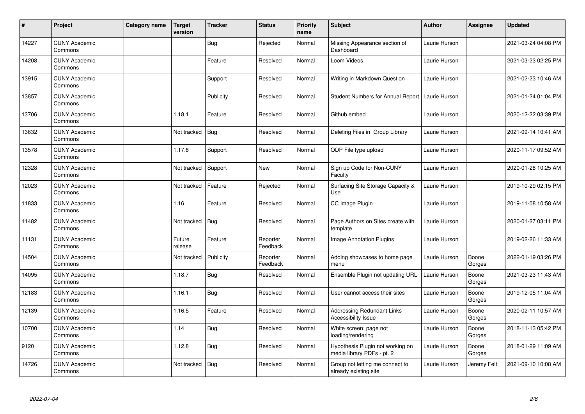| #     | Project                         | Category name | <b>Target</b><br>version | <b>Tracker</b> | <b>Status</b>        | <b>Priority</b><br>name | <b>Subject</b>                                                 | <b>Author</b> | Assignee        | <b>Updated</b>      |
|-------|---------------------------------|---------------|--------------------------|----------------|----------------------|-------------------------|----------------------------------------------------------------|---------------|-----------------|---------------------|
| 14227 | <b>CUNY Academic</b><br>Commons |               |                          | Bug            | Rejected             | Normal                  | Missing Appearance section of<br>Dashboard                     | Laurie Hurson |                 | 2021-03-24 04:08 PM |
| 14208 | <b>CUNY Academic</b><br>Commons |               |                          | Feature        | Resolved             | Normal                  | Loom Videos                                                    | Laurie Hurson |                 | 2021-03-23 02:25 PM |
| 13915 | <b>CUNY Academic</b><br>Commons |               |                          | Support        | Resolved             | Normal                  | Writing in Markdown Question                                   | Laurie Hurson |                 | 2021-02-23 10:46 AM |
| 13857 | <b>CUNY Academic</b><br>Commons |               |                          | Publicity      | Resolved             | Normal                  | Student Numbers for Annual Report                              | Laurie Hurson |                 | 2021-01-24 01:04 PM |
| 13706 | <b>CUNY Academic</b><br>Commons |               | 1.18.1                   | Feature        | Resolved             | Normal                  | Github embed                                                   | Laurie Hurson |                 | 2020-12-22 03:39 PM |
| 13632 | <b>CUNY Academic</b><br>Commons |               | Not tracked              | <b>Bug</b>     | Resolved             | Normal                  | Deleting Files in Group Library                                | Laurie Hurson |                 | 2021-09-14 10:41 AM |
| 13578 | <b>CUNY Academic</b><br>Commons |               | 1.17.8                   | Support        | Resolved             | Normal                  | ODP File type upload                                           | Laurie Hurson |                 | 2020-11-17 09:52 AM |
| 12328 | <b>CUNY Academic</b><br>Commons |               | Not tracked              | Support        | New                  | Normal                  | Sign up Code for Non-CUNY<br>Faculty                           | Laurie Hurson |                 | 2020-01-28 10:25 AM |
| 12023 | <b>CUNY Academic</b><br>Commons |               | Not tracked              | Feature        | Rejected             | Normal                  | Surfacing Site Storage Capacity &<br>Use                       | Laurie Hurson |                 | 2019-10-29 02:15 PM |
| 11833 | <b>CUNY Academic</b><br>Commons |               | 1.16                     | Feature        | Resolved             | Normal                  | CC Image Plugin                                                | Laurie Hurson |                 | 2019-11-08 10:58 AM |
| 11482 | <b>CUNY Academic</b><br>Commons |               | Not tracked              | Bug            | Resolved             | Normal                  | Page Authors on Sites create with<br>template                  | Laurie Hurson |                 | 2020-01-27 03:11 PM |
| 11131 | <b>CUNY Academic</b><br>Commons |               | Future<br>release        | Feature        | Reporter<br>Feedback | Normal                  | Image Annotation Plugins                                       | Laurie Hurson |                 | 2019-02-26 11:33 AM |
| 14504 | <b>CUNY Academic</b><br>Commons |               | Not tracked              | Publicity      | Reporter<br>Feedback | Normal                  | Adding showcases to home page<br>menu                          | Laurie Hurson | Boone<br>Gorges | 2022-01-19 03:26 PM |
| 14095 | <b>CUNY Academic</b><br>Commons |               | 1.18.7                   | <b>Bug</b>     | Resolved             | Normal                  | Ensemble Plugin not updating URL                               | Laurie Hurson | Boone<br>Gorges | 2021-03-23 11:43 AM |
| 12183 | <b>CUNY Academic</b><br>Commons |               | 1.16.1                   | Bug            | Resolved             | Normal                  | User cannot access their sites                                 | Laurie Hurson | Boone<br>Gorges | 2019-12-05 11:04 AM |
| 12139 | <b>CUNY Academic</b><br>Commons |               | 1.16.5                   | Feature        | Resolved             | Normal                  | <b>Addressing Redundant Links</b><br>Accessibility Issue       | Laurie Hurson | Boone<br>Gorges | 2020-02-11 10:57 AM |
| 10700 | <b>CUNY Academic</b><br>Commons |               | 1.14                     | <b>Bug</b>     | Resolved             | Normal                  | White screen: page not<br>loading/rendering                    | Laurie Hurson | Boone<br>Gorges | 2018-11-13 05:42 PM |
| 9120  | <b>CUNY Academic</b><br>Commons |               | 1.12.8                   | <b>Bug</b>     | Resolved             | Normal                  | Hypothesis Plugin not working on<br>media library PDFs - pt. 2 | Laurie Hurson | Boone<br>Gorges | 2018-01-29 11:09 AM |
| 14726 | <b>CUNY Academic</b><br>Commons |               | Not tracked              | Bug            | Resolved             | Normal                  | Group not letting me connect to<br>already existing site       | Laurie Hurson | Jeremy Felt     | 2021-09-10 10:08 AM |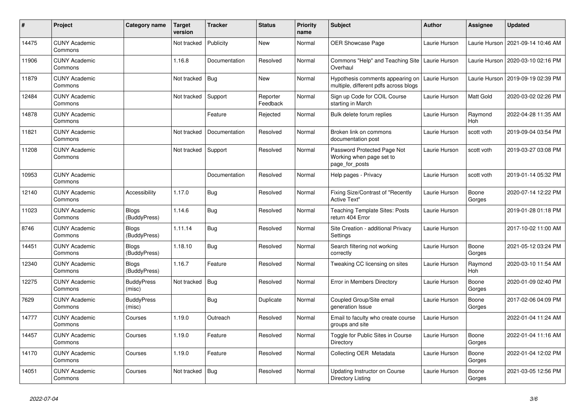| $\vert$ # | Project                         | Category name                | <b>Target</b><br>version | <b>Tracker</b> | <b>Status</b>        | <b>Priority</b><br>name | <b>Subject</b>                                                            | <b>Author</b> | <b>Assignee</b>  | <b>Updated</b>      |
|-----------|---------------------------------|------------------------------|--------------------------|----------------|----------------------|-------------------------|---------------------------------------------------------------------------|---------------|------------------|---------------------|
| 14475     | <b>CUNY Academic</b><br>Commons |                              | Not tracked              | Publicity      | <b>New</b>           | Normal                  | OER Showcase Page                                                         | Laurie Hurson | Laurie Hurson    | 2021-09-14 10:46 AM |
| 11906     | <b>CUNY Academic</b><br>Commons |                              | 1.16.8                   | Documentation  | Resolved             | Normal                  | Commons "Help" and Teaching Site<br>Overhaul                              | Laurie Hurson | Laurie Hurson    | 2020-03-10 02:16 PM |
| 11879     | <b>CUNY Academic</b><br>Commons |                              | Not tracked              | <b>Bug</b>     | New                  | Normal                  | Hypothesis comments appearing on<br>multiple, different pdfs across blogs | Laurie Hurson | Laurie Hurson    | 2019-09-19 02:39 PM |
| 12484     | <b>CUNY Academic</b><br>Commons |                              | Not tracked              | Support        | Reporter<br>Feedback | Normal                  | Sign up Code for COIL Course<br>starting in March                         | Laurie Hurson | <b>Matt Gold</b> | 2020-03-02 02:26 PM |
| 14878     | <b>CUNY Academic</b><br>Commons |                              |                          | Feature        | Rejected             | Normal                  | Bulk delete forum replies                                                 | Laurie Hurson | Raymond<br>Hoh   | 2022-04-28 11:35 AM |
| 11821     | <b>CUNY Academic</b><br>Commons |                              | Not tracked              | Documentation  | Resolved             | Normal                  | Broken link on commons<br>documentation post                              | Laurie Hurson | scott voth       | 2019-09-04 03:54 PM |
| 11208     | <b>CUNY Academic</b><br>Commons |                              | Not tracked              | Support        | Resolved             | Normal                  | Password Protected Page Not<br>Working when page set to<br>page_for_posts | Laurie Hurson | scott voth       | 2019-03-27 03:08 PM |
| 10953     | <b>CUNY Academic</b><br>Commons |                              |                          | Documentation  | Resolved             | Normal                  | Help pages - Privacy                                                      | Laurie Hurson | scott voth       | 2019-01-14 05:32 PM |
| 12140     | <b>CUNY Academic</b><br>Commons | Accessibility                | 1.17.0                   | Bug            | Resolved             | Normal                  | Fixing Size/Contrast of "Recently<br><b>Active Text"</b>                  | Laurie Hurson | Boone<br>Gorges  | 2020-07-14 12:22 PM |
| 11023     | <b>CUNY Academic</b><br>Commons | Blogs<br>(BuddyPress)        | 1.14.6                   | <b>Bug</b>     | Resolved             | Normal                  | <b>Teaching Template Sites: Posts</b><br>return 404 Error                 | Laurie Hurson |                  | 2019-01-28 01:18 PM |
| 8746      | <b>CUNY Academic</b><br>Commons | <b>Blogs</b><br>(BuddyPress) | 1.11.14                  | Bug            | Resolved             | Normal                  | Site Creation - additional Privacy<br>Settings                            | Laurie Hurson |                  | 2017-10-02 11:00 AM |
| 14451     | <b>CUNY Academic</b><br>Commons | <b>Blogs</b><br>(BuddyPress) | 1.18.10                  | <b>Bug</b>     | Resolved             | Normal                  | Search filtering not working<br>correctly                                 | Laurie Hurson | Boone<br>Gorges  | 2021-05-12 03:24 PM |
| 12340     | <b>CUNY Academic</b><br>Commons | <b>Blogs</b><br>(BuddyPress) | 1.16.7                   | Feature        | Resolved             | Normal                  | Tweaking CC licensing on sites                                            | Laurie Hurson | Raymond<br>Hoh   | 2020-03-10 11:54 AM |
| 12275     | <b>CUNY Academic</b><br>Commons | <b>BuddyPress</b><br>(misc)  | Not tracked              | <b>Bug</b>     | Resolved             | Normal                  | Error in Members Directory                                                | Laurie Hurson | Boone<br>Gorges  | 2020-01-09 02:40 PM |
| 7629      | <b>CUNY Academic</b><br>Commons | <b>BuddyPress</b><br>(misc)  |                          | <b>Bug</b>     | Duplicate            | Normal                  | Coupled Group/Site email<br>generation Issue                              | Laurie Hurson | Boone<br>Gorges  | 2017-02-06 04:09 PM |
| 14777     | <b>CUNY Academic</b><br>Commons | Courses                      | 1.19.0                   | Outreach       | Resolved             | Normal                  | Email to faculty who create course<br>groups and site                     | Laurie Hurson |                  | 2022-01-04 11:24 AM |
| 14457     | <b>CUNY Academic</b><br>Commons | Courses                      | 1.19.0                   | Feature        | Resolved             | Normal                  | Toggle for Public Sites in Course<br>Directory                            | Laurie Hurson | Boone<br>Gorges  | 2022-01-04 11:16 AM |
| 14170     | <b>CUNY Academic</b><br>Commons | Courses                      | 1.19.0                   | Feature        | Resolved             | Normal                  | Collecting OER Metadata                                                   | Laurie Hurson | Boone<br>Gorges  | 2022-01-04 12:02 PM |
| 14051     | <b>CUNY Academic</b><br>Commons | Courses                      | Not tracked              | <b>Bug</b>     | Resolved             | Normal                  | Updating Instructor on Course<br>Directory Listing                        | Laurie Hurson | Boone<br>Gorges  | 2021-03-05 12:56 PM |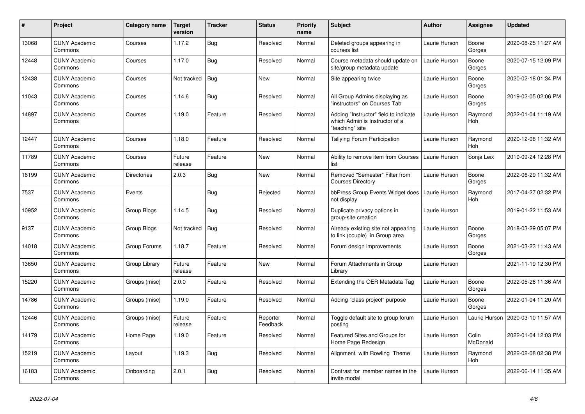| #     | <b>Project</b>                  | Category name      | Target<br>version | <b>Tracker</b> | <b>Status</b>        | <b>Priority</b><br>name | <b>Subject</b>                                                                             | <b>Author</b> | Assignee                 | <b>Updated</b>      |
|-------|---------------------------------|--------------------|-------------------|----------------|----------------------|-------------------------|--------------------------------------------------------------------------------------------|---------------|--------------------------|---------------------|
| 13068 | <b>CUNY Academic</b><br>Commons | Courses            | 1.17.2            | <b>Bug</b>     | Resolved             | Normal                  | Deleted groups appearing in<br>courses list                                                | Laurie Hurson | Boone<br>Gorges          | 2020-08-25 11:27 AM |
| 12448 | <b>CUNY Academic</b><br>Commons | Courses            | 1.17.0            | <b>Bug</b>     | Resolved             | Normal                  | Course metadata should update on<br>site/group metadata update                             | Laurie Hurson | Boone<br>Gorges          | 2020-07-15 12:09 PM |
| 12438 | <b>CUNY Academic</b><br>Commons | Courses            | Not tracked       | Bug            | New                  | Normal                  | Site appearing twice                                                                       | Laurie Hurson | Boone<br>Gorges          | 2020-02-18 01:34 PM |
| 11043 | <b>CUNY Academic</b><br>Commons | Courses            | 1.14.6            | <b>Bug</b>     | Resolved             | Normal                  | All Group Admins displaying as<br>"instructors" on Courses Tab                             | Laurie Hurson | Boone<br>Gorges          | 2019-02-05 02:06 PM |
| 14897 | <b>CUNY Academic</b><br>Commons | Courses            | 1.19.0            | Feature        | Resolved             | Normal                  | Adding "Instructor" field to indicate<br>which Admin is Instructor of a<br>"teaching" site | Laurie Hurson | Raymond<br>Hoh           | 2022-01-04 11:19 AM |
| 12447 | <b>CUNY Academic</b><br>Commons | Courses            | 1.18.0            | Feature        | Resolved             | Normal                  | <b>Tallying Forum Participation</b>                                                        | Laurie Hurson | Raymond<br>Hoh           | 2020-12-08 11:32 AM |
| 11789 | <b>CUNY Academic</b><br>Commons | Courses            | Future<br>release | Feature        | New                  | Normal                  | Ability to remove item from Courses<br>list                                                | Laurie Hurson | Sonja Leix               | 2019-09-24 12:28 PM |
| 16199 | <b>CUNY Academic</b><br>Commons | <b>Directories</b> | 2.0.3             | Bug            | New                  | Normal                  | Removed "Semester" Filter from<br><b>Courses Directory</b>                                 | Laurie Hurson | Boone<br>Gorges          | 2022-06-29 11:32 AM |
| 7537  | <b>CUNY Academic</b><br>Commons | Events             |                   | Bug            | Rejected             | Normal                  | bbPress Group Events Widget does<br>not display                                            | Laurie Hurson | Raymond<br>Hoh           | 2017-04-27 02:32 PM |
| 10952 | <b>CUNY Academic</b><br>Commons | Group Blogs        | 1.14.5            | <b>Bug</b>     | Resolved             | Normal                  | Duplicate privacy options in<br>group-site creation                                        | Laurie Hurson |                          | 2019-01-22 11:53 AM |
| 9137  | <b>CUNY Academic</b><br>Commons | Group Blogs        | Not tracked       | <b>Bug</b>     | Resolved             | Normal                  | Already existing site not appearing<br>to link (couple) in Group area                      | Laurie Hurson | Boone<br>Gorges          | 2018-03-29 05:07 PM |
| 14018 | <b>CUNY Academic</b><br>Commons | Group Forums       | 1.18.7            | Feature        | Resolved             | Normal                  | Forum design improvements                                                                  | Laurie Hurson | Boone<br>Gorges          | 2021-03-23 11:43 AM |
| 13650 | <b>CUNY Academic</b><br>Commons | Group Library      | Future<br>release | Feature        | New                  | Normal                  | Forum Attachments in Group<br>Library                                                      | Laurie Hurson |                          | 2021-11-19 12:30 PM |
| 15220 | <b>CUNY Academic</b><br>Commons | Groups (misc)      | 2.0.0             | Feature        | Resolved             | Normal                  | Extending the OER Metadata Tag                                                             | Laurie Hurson | Boone<br>Gorges          | 2022-05-26 11:36 AM |
| 14786 | <b>CUNY Academic</b><br>Commons | Groups (misc)      | 1.19.0            | Feature        | Resolved             | Normal                  | Adding "class project" purpose                                                             | Laurie Hurson | Boone<br>Gorges          | 2022-01-04 11:20 AM |
| 12446 | <b>CUNY Academic</b><br>Commons | Groups (misc)      | Future<br>release | Feature        | Reporter<br>Feedback | Normal                  | Toggle default site to group forum<br>posting                                              | Laurie Hurson | Laurie Hurson            | 2020-03-10 11:57 AM |
| 14179 | <b>CUNY Academic</b><br>Commons | Home Page          | 1.19.0            | Feature        | Resolved             | Normal                  | Featured Sites and Groups for<br>Home Page Redesign                                        | Laurie Hurson | Colin<br><b>McDonald</b> | 2022-01-04 12:03 PM |
| 15219 | <b>CUNY Academic</b><br>Commons | Layout             | 1.19.3            | <b>Bug</b>     | Resolved             | Normal                  | Alignment with Rowling Theme                                                               | Laurie Hurson | Raymond<br>Hoh           | 2022-02-08 02:38 PM |
| 16183 | <b>CUNY Academic</b><br>Commons | Onboarding         | 2.0.1             | <b>Bug</b>     | Resolved             | Normal                  | Contrast for member names in the<br>invite modal                                           | Laurie Hurson |                          | 2022-06-14 11:35 AM |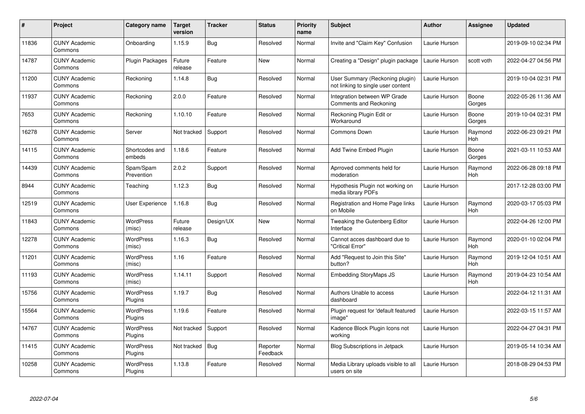| $\pmb{\#}$ | Project                         | Category name               | Target<br>version | <b>Tracker</b> | <b>Status</b>        | <b>Priority</b><br>name | <b>Subject</b>                                                        | <b>Author</b> | <b>Assignee</b>       | <b>Updated</b>      |
|------------|---------------------------------|-----------------------------|-------------------|----------------|----------------------|-------------------------|-----------------------------------------------------------------------|---------------|-----------------------|---------------------|
| 11836      | <b>CUNY Academic</b><br>Commons | Onboarding                  | 1.15.9            | Bug            | Resolved             | Normal                  | Invite and "Claim Key" Confusion                                      | Laurie Hurson |                       | 2019-09-10 02:34 PM |
| 14787      | <b>CUNY Academic</b><br>Commons | <b>Plugin Packages</b>      | Future<br>release | Feature        | New                  | Normal                  | Creating a "Design" plugin package                                    | Laurie Hurson | scott voth            | 2022-04-27 04:56 PM |
| 11200      | <b>CUNY Academic</b><br>Commons | Reckoning                   | 1.14.8            | <b>Bug</b>     | Resolved             | Normal                  | User Summary (Reckoning plugin)<br>not linking to single user content | Laurie Hurson |                       | 2019-10-04 02:31 PM |
| 11937      | <b>CUNY Academic</b><br>Commons | Reckoning                   | 2.0.0             | Feature        | Resolved             | Normal                  | Integration between WP Grade<br>Comments and Reckoning                | Laurie Hurson | Boone<br>Gorges       | 2022-05-26 11:36 AM |
| 7653       | <b>CUNY Academic</b><br>Commons | Reckoning                   | 1.10.10           | Feature        | Resolved             | Normal                  | Reckoning Plugin Edit or<br>Workaround                                | Laurie Hurson | Boone<br>Gorges       | 2019-10-04 02:31 PM |
| 16278      | <b>CUNY Academic</b><br>Commons | Server                      | Not tracked       | Support        | Resolved             | Normal                  | Commons Down                                                          | Laurie Hurson | Raymond<br><b>Hoh</b> | 2022-06-23 09:21 PM |
| 14115      | <b>CUNY Academic</b><br>Commons | Shortcodes and<br>embeds    | 1.18.6            | Feature        | Resolved             | Normal                  | <b>Add Twine Embed Plugin</b>                                         | Laurie Hurson | Boone<br>Gorges       | 2021-03-11 10:53 AM |
| 14439      | <b>CUNY Academic</b><br>Commons | Spam/Spam<br>Prevention     | 2.0.2             | Support        | Resolved             | Normal                  | Aprroved comments held for<br>moderation                              | Laurie Hurson | Raymond<br>Hoh        | 2022-06-28 09:18 PM |
| 8944       | <b>CUNY Academic</b><br>Commons | Teaching                    | 1.12.3            | <b>Bug</b>     | Resolved             | Normal                  | Hypothesis Plugin not working on<br>media library PDFs                | Laurie Hurson |                       | 2017-12-28 03:00 PM |
| 12519      | <b>CUNY Academic</b><br>Commons | User Experience             | 1.16.8            | Bug            | Resolved             | Normal                  | Registration and Home Page links<br>on Mobile                         | Laurie Hurson | Raymond<br>Hoh        | 2020-03-17 05:03 PM |
| 11843      | <b>CUNY Academic</b><br>Commons | <b>WordPress</b><br>(misc)  | Future<br>release | Design/UX      | New                  | Normal                  | Tweaking the Gutenberg Editor<br>Interface                            | Laurie Hurson |                       | 2022-04-26 12:00 PM |
| 12278      | <b>CUNY Academic</b><br>Commons | <b>WordPress</b><br>(misc)  | 1.16.3            | <b>Bug</b>     | Resolved             | Normal                  | Cannot acces dashboard due to<br>'Critical Error"                     | Laurie Hurson | Raymond<br>Hoh        | 2020-01-10 02:04 PM |
| 11201      | <b>CUNY Academic</b><br>Commons | <b>WordPress</b><br>(misc)  | 1.16              | Feature        | Resolved             | Normal                  | Add "Request to Join this Site"<br>button?                            | Laurie Hurson | Raymond<br>Hoh        | 2019-12-04 10:51 AM |
| 11193      | <b>CUNY Academic</b><br>Commons | <b>WordPress</b><br>(misc)  | 1.14.11           | Support        | Resolved             | Normal                  | <b>Embedding StoryMaps JS</b>                                         | Laurie Hurson | Raymond<br>Hoh        | 2019-04-23 10:54 AM |
| 15756      | <b>CUNY Academic</b><br>Commons | WordPress<br>Plugins        | 1.19.7            | <b>Bug</b>     | Resolved             | Normal                  | Authors Unable to access<br>dashboard                                 | Laurie Hurson |                       | 2022-04-12 11:31 AM |
| 15564      | <b>CUNY Academic</b><br>Commons | <b>WordPress</b><br>Plugins | 1.19.6            | Feature        | Resolved             | Normal                  | Plugin request for 'default featured<br>image"                        | Laurie Hurson |                       | 2022-03-15 11:57 AM |
| 14767      | <b>CUNY Academic</b><br>Commons | WordPress<br>Plugins        | Not tracked       | Support        | Resolved             | Normal                  | Kadence Block Plugin Icons not<br>working                             | Laurie Hurson |                       | 2022-04-27 04:31 PM |
| 11415      | <b>CUNY Academic</b><br>Commons | WordPress<br>Plugins        | Not tracked       | Bug            | Reporter<br>Feedback | Normal                  | <b>Blog Subscriptions in Jetpack</b>                                  | Laurie Hurson |                       | 2019-05-14 10:34 AM |
| 10258      | <b>CUNY Academic</b><br>Commons | WordPress<br>Plugins        | 1.13.8            | Feature        | Resolved             | Normal                  | Media Library uploads visible to all<br>users on site                 | Laurie Hurson |                       | 2018-08-29 04:53 PM |